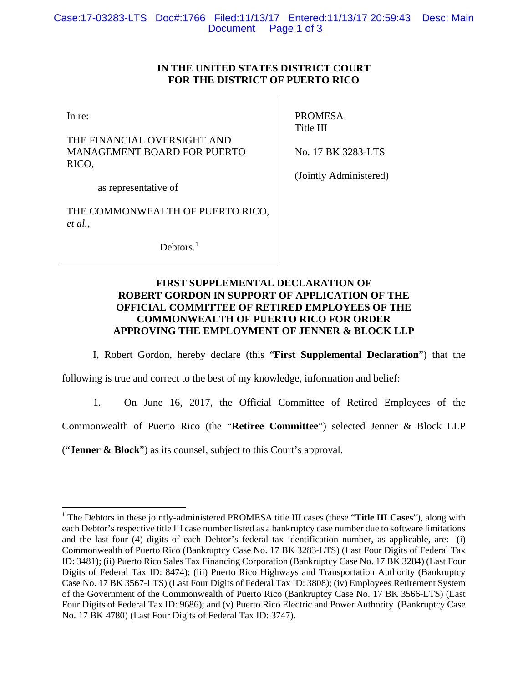## **IN THE UNITED STATES DISTRICT COURT FOR THE DISTRICT OF PUERTO RICO**

In re:

 $\overline{a}$ 

THE FINANCIAL OVERSIGHT AND MANAGEMENT BOARD FOR PUERTO RICO,

PROMESA Title III

No. 17 BK 3283-LTS

as representative of

THE COMMONWEALTH OF PUERTO RICO, *et al.*,

Debtors.<sup>1</sup>

(Jointly Administered)

## **FIRST SUPPLEMENTAL DECLARATION OF ROBERT GORDON IN SUPPORT OF APPLICATION OF THE OFFICIAL COMMITTEE OF RETIRED EMPLOYEES OF THE COMMONWEALTH OF PUERTO RICO FOR ORDER APPROVING THE EMPLOYMENT OF JENNER & BLOCK LLP**

I, Robert Gordon, hereby declare (this "**First Supplemental Declaration**") that the

following is true and correct to the best of my knowledge, information and belief:

1. On June 16, 2017, the Official Committee of Retired Employees of the

Commonwealth of Puerto Rico (the "**Retiree Committee**") selected Jenner & Block LLP

("**Jenner & Block**") as its counsel, subject to this Court's approval.

<sup>&</sup>lt;sup>1</sup> The Debtors in these jointly-administered PROMESA title III cases (these "Title III Cases"), along with each Debtor's respective title III case number listed as a bankruptcy case number due to software limitations and the last four (4) digits of each Debtor's federal tax identification number, as applicable, are: (i) Commonwealth of Puerto Rico (Bankruptcy Case No. 17 BK 3283-LTS) (Last Four Digits of Federal Tax ID: 3481); (ii) Puerto Rico Sales Tax Financing Corporation (Bankruptcy Case No. 17 BK 3284) (Last Four Digits of Federal Tax ID: 8474); (iii) Puerto Rico Highways and Transportation Authority (Bankruptcy Case No. 17 BK 3567-LTS) (Last Four Digits of Federal Tax ID: 3808); (iv) Employees Retirement System of the Government of the Commonwealth of Puerto Rico (Bankruptcy Case No. 17 BK 3566-LTS) (Last Four Digits of Federal Tax ID: 9686); and (v) Puerto Rico Electric and Power Authority (Bankruptcy Case No. 17 BK 4780) (Last Four Digits of Federal Tax ID: 3747).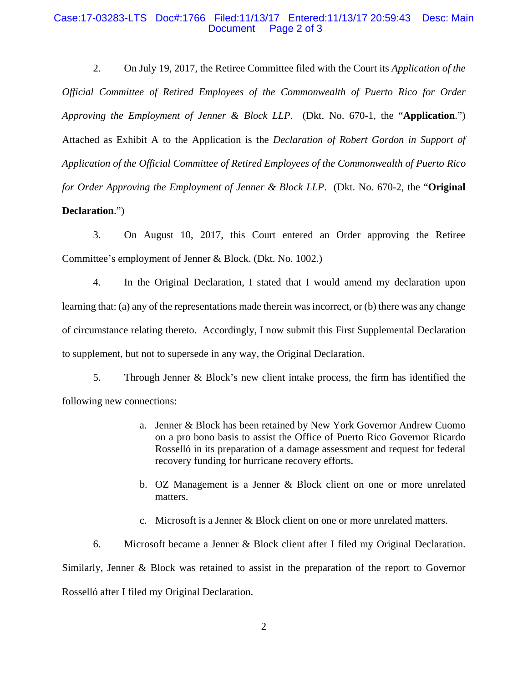## Case:17-03283-LTS Doc#:1766 Filed:11/13/17 Entered:11/13/17 20:59:43 Desc: Main Document Page 2 of 3

2. On July 19, 2017, the Retiree Committee filed with the Court its *Application of the Official Committee of Retired Employees of the Commonwealth of Puerto Rico for Order Approving the Employment of Jenner & Block LLP*. (Dkt. No. 670-1, the "**Application**.") Attached as Exhibit A to the Application is the *Declaration of Robert Gordon in Support of Application of the Official Committee of Retired Employees of the Commonwealth of Puerto Rico for Order Approving the Employment of Jenner & Block LLP*. (Dkt. No. 670-2, the "**Original Declaration**.")

3. On August 10, 2017, this Court entered an Order approving the Retiree Committee's employment of Jenner & Block. (Dkt. No. 1002.)

4. In the Original Declaration, I stated that I would amend my declaration upon learning that: (a) any of the representations made therein was incorrect, or (b) there was any change of circumstance relating thereto. Accordingly, I now submit this First Supplemental Declaration to supplement, but not to supersede in any way, the Original Declaration.

5. Through Jenner & Block's new client intake process, the firm has identified the following new connections:

- a. Jenner & Block has been retained by New York Governor Andrew Cuomo on a pro bono basis to assist the Office of Puerto Rico Governor Ricardo Rosselló in its preparation of a damage assessment and request for federal recovery funding for hurricane recovery efforts.
- b. OZ Management is a Jenner & Block client on one or more unrelated matters.
- c. Microsoft is a Jenner & Block client on one or more unrelated matters.

6. Microsoft became a Jenner & Block client after I filed my Original Declaration. Similarly, Jenner & Block was retained to assist in the preparation of the report to Governor Rosselló after I filed my Original Declaration.